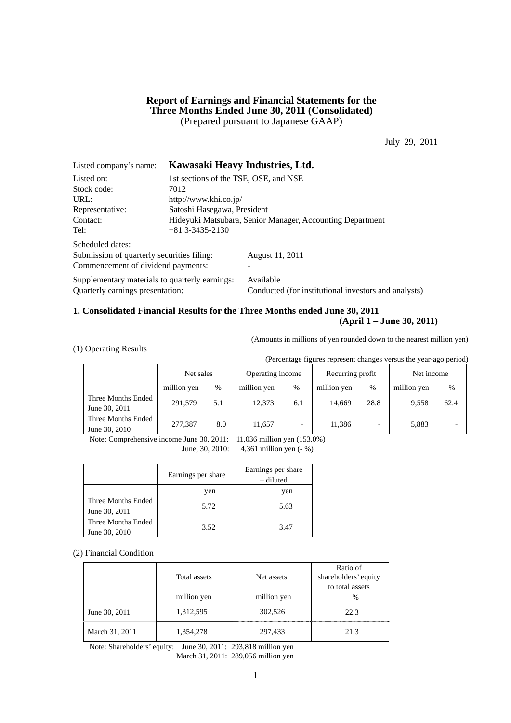### **Report of Earnings and Financial Statements for the Three Months Ended June 30, 2011 (Consolidated)**  (Prepared pursuant to Japanese GAAP)

July 29, 2011

| Listed company's name:                         |                                                           | Kawasaki Heavy Industries, Ltd.                      |  |  |  |
|------------------------------------------------|-----------------------------------------------------------|------------------------------------------------------|--|--|--|
| Listed on:                                     |                                                           | 1st sections of the TSE, OSE, and NSE                |  |  |  |
| Stock code:                                    | 7012                                                      |                                                      |  |  |  |
| URL:                                           | http://www.khi.co.jp/                                     |                                                      |  |  |  |
| Representative:                                | Satoshi Hasegawa, President                               |                                                      |  |  |  |
| Contact:                                       | Hideyuki Matsubara, Senior Manager, Accounting Department |                                                      |  |  |  |
| Tel:                                           | $+81$ 3-3435-2130                                         |                                                      |  |  |  |
| Scheduled dates:                               |                                                           |                                                      |  |  |  |
| Submission of quarterly securities filing:     |                                                           | August 11, 2011                                      |  |  |  |
| Commencement of dividend payments:             |                                                           |                                                      |  |  |  |
| Supplementary materials to quarterly earnings: |                                                           | Available                                            |  |  |  |
| Quarterly earnings presentation:               |                                                           | Conducted (for institutional investors and analysts) |  |  |  |

# **1. Consolidated Financial Results for the Three Months ended June 30, 2011**

# **(April 1 – June 30, 2011)**

(Amounts in millions of yen rounded down to the nearest million yen)

|  |  |  | (1) Operating Results |
|--|--|--|-----------------------|
|--|--|--|-----------------------|

(Percentage figures represent changes versus the year-ago period)

|                                     | Net sales   |     | Operating income |                          | Recurring profit |      | Net income  |      |
|-------------------------------------|-------------|-----|------------------|--------------------------|------------------|------|-------------|------|
|                                     | million yen | %   | million yen      | $\%$                     | million yen      | $\%$ | million yen | %    |
| Three Months Ended<br>June 30, 2011 | 291.579     | 5.1 | 12.373           | 6.1                      | 14.669           | 28.8 | 9.558       | 62.4 |
| Three Months Ended<br>June 30, 2010 | 277,387     | 8.0 | 11.657           | $\overline{\phantom{0}}$ | 11,386           |      | 5,883       |      |

Note: Comprehensive income June 30, 2011: 11,036 million yen (153.0%)

June, 30, 2010: 4,361 million yen (- %)

|                                     | Earnings per share | Earnings per share<br>– diluted |
|-------------------------------------|--------------------|---------------------------------|
|                                     | yen                | yen                             |
| Three Months Ended<br>June 30, 2011 | 5.72               | 5.63                            |
| Three Months Ended<br>June 30, 2010 | 3.52               | 3.47                            |

#### (2) Financial Condition

|                | Total assets | Net assets  | Ratio of<br>shareholders' equity<br>to total assets |
|----------------|--------------|-------------|-----------------------------------------------------|
|                | million yen  | million yen | $\%$                                                |
| June 30, 2011  | 1,312,595    | 302,526     | 22.3                                                |
| March 31, 2011 | 1,354,278    | 297,433     | 21.3                                                |

Note: Shareholders' equity: June 30, 2011: 293,818 million yen March 31, 2011: 289,056 million yen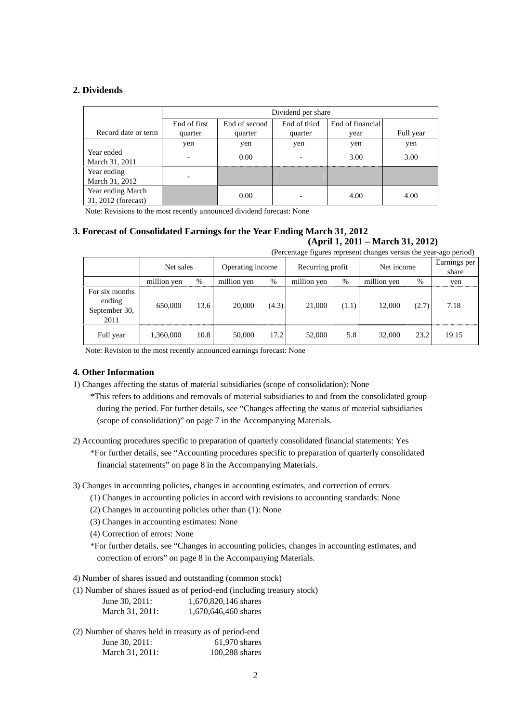### **2. Dividends**

|                                          | Dividend per share       |                                                   |         |      |           |  |  |
|------------------------------------------|--------------------------|---------------------------------------------------|---------|------|-----------|--|--|
|                                          | End of first             | End of third<br>End of financial<br>End of second |         |      |           |  |  |
| Record date or term                      | quarter                  | quarter                                           | quarter | vear | Full year |  |  |
|                                          | yen                      | yen                                               | yen     | yen  | yen       |  |  |
| Year ended<br>March 31, 2011             | $\overline{\phantom{0}}$ | 0.00                                              |         | 3.00 | 3.00      |  |  |
| Year ending<br>March 31, 2012            | $\overline{\phantom{0}}$ |                                                   |         |      |           |  |  |
| Year ending March<br>31, 2012 (forecast) |                          | 0.00                                              |         | 4.00 | 4.00      |  |  |

Note: Revisions to the most recently announced dividend forecast: None

#### **3. Forecast of Consolidated Earnings for the Year Ending March 31, 2012 (April 1, 2011 – March 31, 2012)**

(Percentage figures represent changes versus the year-ago period)

|                                                   | Net sales   |      | Operating income |       |             | Recurring profit |             | Net income | Earnings per<br>share |
|---------------------------------------------------|-------------|------|------------------|-------|-------------|------------------|-------------|------------|-----------------------|
|                                                   | million yen | %    | million yen      | %     | million yen | $\%$             | million yen | %          | yen                   |
| For six months<br>ending<br>September 30,<br>2011 | 650,000     | 13.6 | 20,000           | (4.3) | 21,000      | (1.1)            | 12.000      | (2.7)      | 7.18                  |
| Full year                                         | 1,360,000   | 10.8 | 50,000           | 17.2  | 52,000      | 5.8              | 32,000      | 23.2       | 19.15                 |

Note: Revision to the most recently announced earnings forecast: None

# **4. Other Information**

1) Changes affecting the status of material subsidiaries (scope of consolidation): None

\*This refers to additions and removals of material subsidiaries to and from the consolidated group during the period. For further details, see "Changes affecting the status of material subsidiaries (scope of consolidation)" on page 7 in the Accompanying Materials.

- 2) Accounting procedures specific to preparation of quarterly consolidated financial statements: Yes
	- \*For further details, see "Accounting procedures specific to preparation of quarterly consolidated financial statements" on page 8 in the Accompanying Materials.

3) Changes in accounting policies, changes in accounting estimates, and correction of errors

- (1) Changes in accounting policies in accord with revisions to accounting standards: None
- (2) Changes in accounting policies other than (1): None
- (3) Changes in accounting estimates: None

(4) Correction of errors: None

\*For further details, see "Changes in accounting policies, changes in accounting estimates, and correction of errors" on page 8 in the Accompanying Materials.

4) Number of shares issued and outstanding (common stock)

(1) Number of shares issued as of period-end (including treasury stock)

| June 30, 2011:  | 1,670,820,146 shares |
|-----------------|----------------------|
| March 31, 2011: | 1,670,646,460 shares |

| (2) Number of shares held in treasury as of period-end |                  |
|--------------------------------------------------------|------------------|
| June $30, 2011$ :                                      | $61.970$ shares  |
| March 31, 2011:                                        | $100,288$ shares |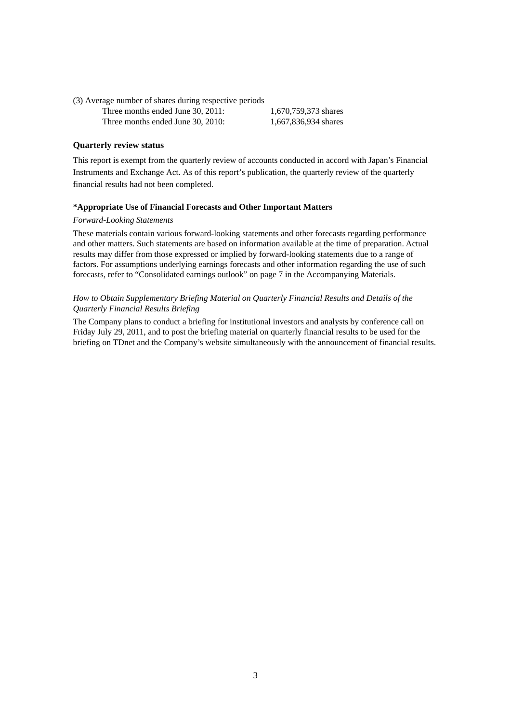(3) Average number of shares during respective periods Three months ended June 30, 2011: 1,670,759,373 shares Three months ended June 30, 2010: 1,667,836,934 shares

### **Quarterly review status**

This report is exempt from the quarterly review of accounts conducted in accord with Japan's Financial Instruments and Exchange Act. As of this report's publication, the quarterly review of the quarterly financial results had not been completed.

#### **\*Appropriate Use of Financial Forecasts and Other Important Matters**

#### *Forward-Looking Statements*

These materials contain various forward-looking statements and other forecasts regarding performance and other matters. Such statements are based on information available at the time of preparation. Actual results may differ from those expressed or implied by forward-looking statements due to a range of factors. For assumptions underlying earnings forecasts and other information regarding the use of such forecasts, refer to "Consolidated earnings outlook" on page 7 in the Accompanying Materials.

#### *How to Obtain Supplementary Briefing Material on Quarterly Financial Results and Details of the Quarterly Financial Results Briefing*

The Company plans to conduct a briefing for institutional investors and analysts by conference call on Friday July 29, 2011, and to post the briefing material on quarterly financial results to be used for the briefing on TDnet and the Company's website simultaneously with the announcement of financial results.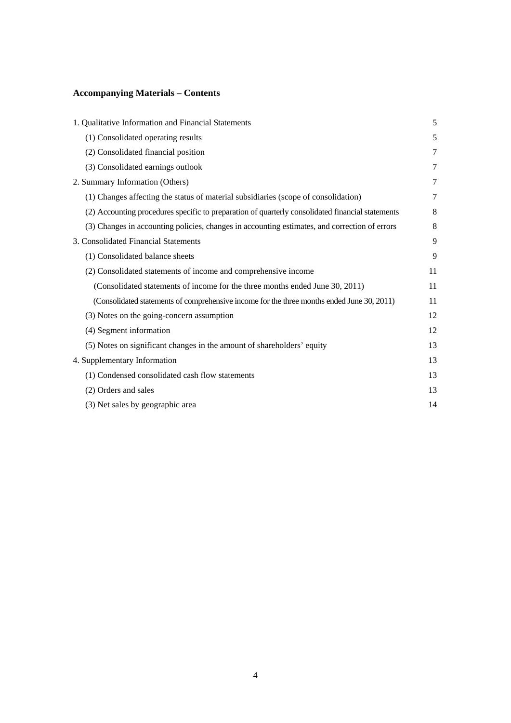# **Accompanying Materials – Contents**

| 1. Qualitative Information and Financial Statements                                              | 5  |
|--------------------------------------------------------------------------------------------------|----|
| (1) Consolidated operating results                                                               | 5  |
| (2) Consolidated financial position                                                              | 7  |
| (3) Consolidated earnings outlook                                                                | 7  |
| 2. Summary Information (Others)                                                                  | 7  |
| (1) Changes affecting the status of material subsidiaries (scope of consolidation)               | 7  |
| (2) Accounting procedures specific to preparation of quarterly consolidated financial statements | 8  |
| (3) Changes in accounting policies, changes in accounting estimates, and correction of errors    | 8  |
| 3. Consolidated Financial Statements                                                             | 9  |
| (1) Consolidated balance sheets                                                                  | 9  |
| (2) Consolidated statements of income and comprehensive income                                   | 11 |
| (Consolidated statements of income for the three months ended June 30, 2011)                     | 11 |
| (Consolidated statements of comprehensive income for the three months ended June 30, 2011)       | 11 |
| (3) Notes on the going-concern assumption                                                        | 12 |
| (4) Segment information                                                                          | 12 |
| (5) Notes on significant changes in the amount of shareholders' equity                           | 13 |
| 4. Supplementary Information                                                                     | 13 |
| (1) Condensed consolidated cash flow statements                                                  | 13 |
| (2) Orders and sales                                                                             | 13 |
| (3) Net sales by geographic area                                                                 | 14 |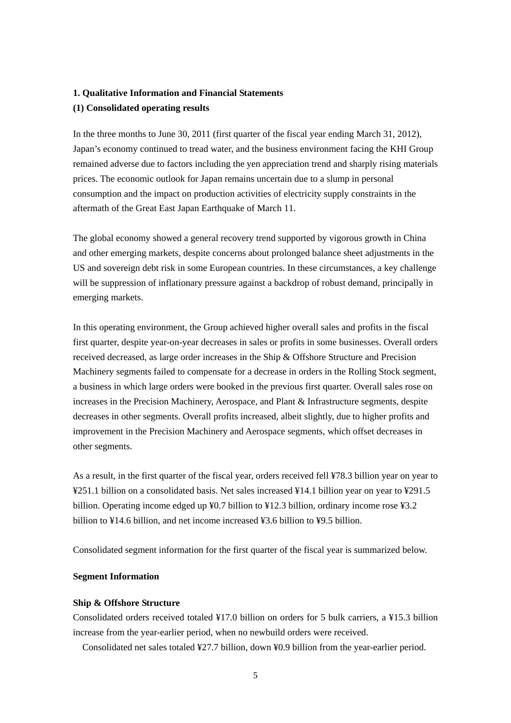# **1. Qualitative Information and Financial Statements**

### **(1) Consolidated operating results**

In the three months to June 30, 2011 (first quarter of the fiscal year ending March 31, 2012), Japan's economy continued to tread water, and the business environment facing the KHI Group remained adverse due to factors including the yen appreciation trend and sharply rising materials prices. The economic outlook for Japan remains uncertain due to a slump in personal consumption and the impact on production activities of electricity supply constraints in the aftermath of the Great East Japan Earthquake of March 11.

The global economy showed a general recovery trend supported by vigorous growth in China and other emerging markets, despite concerns about prolonged balance sheet adjustments in the US and sovereign debt risk in some European countries. In these circumstances, a key challenge will be suppression of inflationary pressure against a backdrop of robust demand, principally in emerging markets.

In this operating environment, the Group achieved higher overall sales and profits in the fiscal first quarter, despite year-on-year decreases in sales or profits in some businesses. Overall orders received decreased, as large order increases in the Ship & Offshore Structure and Precision Machinery segments failed to compensate for a decrease in orders in the Rolling Stock segment, a business in which large orders were booked in the previous first quarter. Overall sales rose on increases in the Precision Machinery, Aerospace, and Plant & Infrastructure segments, despite decreases in other segments. Overall profits increased, albeit slightly, due to higher profits and improvement in the Precision Machinery and Aerospace segments, which offset decreases in other segments.

As a result, in the first quarter of the fiscal year, orders received fell ¥78.3 billion year on year to ¥251.1 billion on a consolidated basis. Net sales increased ¥14.1 billion year on year to ¥291.5 billion. Operating income edged up ¥0.7 billion to ¥12.3 billion, ordinary income rose ¥3.2 billion to  $\frac{1}{4}$ .6 billion, and net income increased  $\frac{1}{4}$ .6 billion to  $\frac{1}{4}$ .6 billion.

Consolidated segment information for the first quarter of the fiscal year is summarized below.

#### **Segment Information**

#### **Ship & Offshore Structure**

Consolidated orders received totaled ¥17.0 billion on orders for 5 bulk carriers, a ¥15.3 billion increase from the year-earlier period, when no newbuild orders were received.

Consolidated net sales totaled ¥27.7 billion, down ¥0.9 billion from the year-earlier period.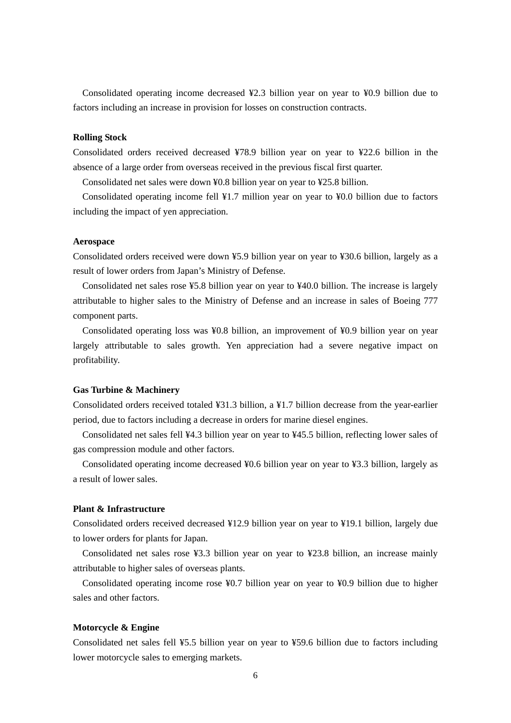Consolidated operating income decreased ¥2.3 billion year on year to ¥0.9 billion due to factors including an increase in provision for losses on construction contracts.

#### **Rolling Stock**

Consolidated orders received decreased ¥78.9 billion year on year to ¥22.6 billion in the absence of a large order from overseas received in the previous fiscal first quarter.

Consolidated net sales were down ¥0.8 billion year on year to ¥25.8 billion.

Consolidated operating income fell ¥1.7 million year on year to ¥0.0 billion due to factors including the impact of yen appreciation.

#### **Aerospace**

Consolidated orders received were down ¥5.9 billion year on year to ¥30.6 billion, largely as a result of lower orders from Japan's Ministry of Defense.

Consolidated net sales rose ¥5.8 billion year on year to ¥40.0 billion. The increase is largely attributable to higher sales to the Ministry of Defense and an increase in sales of Boeing 777 component parts.

Consolidated operating loss was ¥0.8 billion, an improvement of ¥0.9 billion year on year largely attributable to sales growth. Yen appreciation had a severe negative impact on profitability.

#### **Gas Turbine & Machinery**

Consolidated orders received totaled ¥31.3 billion, a ¥1.7 billion decrease from the year-earlier period, due to factors including a decrease in orders for marine diesel engines.

Consolidated net sales fell ¥4.3 billion year on year to ¥45.5 billion, reflecting lower sales of gas compression module and other factors.

Consolidated operating income decreased ¥0.6 billion year on year to ¥3.3 billion, largely as a result of lower sales.

### **Plant & Infrastructure**

Consolidated orders received decreased ¥12.9 billion year on year to ¥19.1 billion, largely due to lower orders for plants for Japan.

Consolidated net sales rose ¥3.3 billion year on year to ¥23.8 billion, an increase mainly attributable to higher sales of overseas plants.

Consolidated operating income rose ¥0.7 billion year on year to ¥0.9 billion due to higher sales and other factors.

#### **Motorcycle & Engine**

Consolidated net sales fell ¥5.5 billion year on year to ¥59.6 billion due to factors including lower motorcycle sales to emerging markets.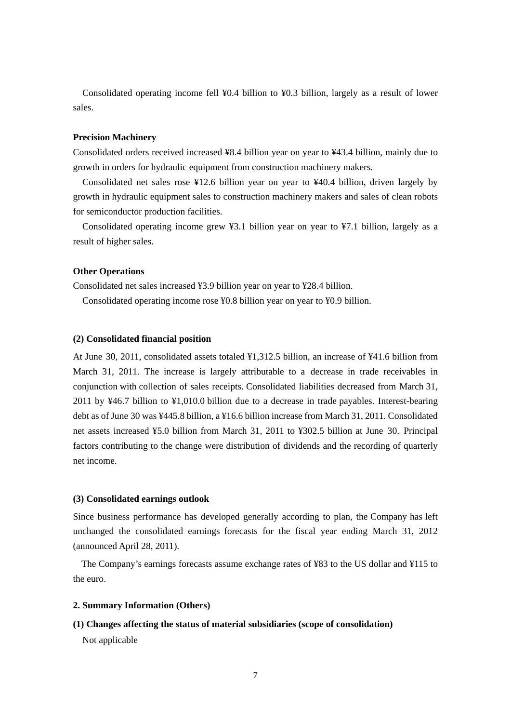Consolidated operating income fell ¥0.4 billion to ¥0.3 billion, largely as a result of lower sales.

# **Precision Machinery**

Consolidated orders received increased ¥8.4 billion year on year to ¥43.4 billion, mainly due to growth in orders for hydraulic equipment from construction machinery makers.

Consolidated net sales rose ¥12.6 billion year on year to ¥40.4 billion, driven largely by growth in hydraulic equipment sales to construction machinery makers and sales of clean robots for semiconductor production facilities.

Consolidated operating income grew ¥3.1 billion year on year to ¥7.1 billion, largely as a result of higher sales.

#### **Other Operations**

Consolidated net sales increased ¥3.9 billion year on year to ¥28.4 billion.

Consolidated operating income rose ¥0.8 billion year on year to ¥0.9 billion.

#### **(2) Consolidated financial position**

At June 30, 2011, consolidated assets totaled ¥1,312.5 billion, an increase of ¥41.6 billion from March 31, 2011. The increase is largely attributable to a decrease in trade receivables in conjunction with collection of sales receipts. Consolidated liabilities decreased from March 31, 2011 by ¥46.7 billion to ¥1,010.0 billion due to a decrease in trade payables. Interest-bearing debt as of June 30 was ¥445.8 billion, a ¥16.6 billion increase from March 31, 2011. Consolidated net assets increased ¥5.0 billion from March 31, 2011 to ¥302.5 billion at June 30. Principal factors contributing to the change were distribution of dividends and the recording of quarterly net income.

#### **(3) Consolidated earnings outlook**

Since business performance has developed generally according to plan, the Company has left unchanged the consolidated earnings forecasts for the fiscal year ending March 31, 2012 (announced April 28, 2011).

The Company's earnings forecasts assume exchange rates of ¥83 to the US dollar and ¥115 to the euro.

#### **2. Summary Information (Others)**

# **(1) Changes affecting the status of material subsidiaries (scope of consolidation)**

Not applicable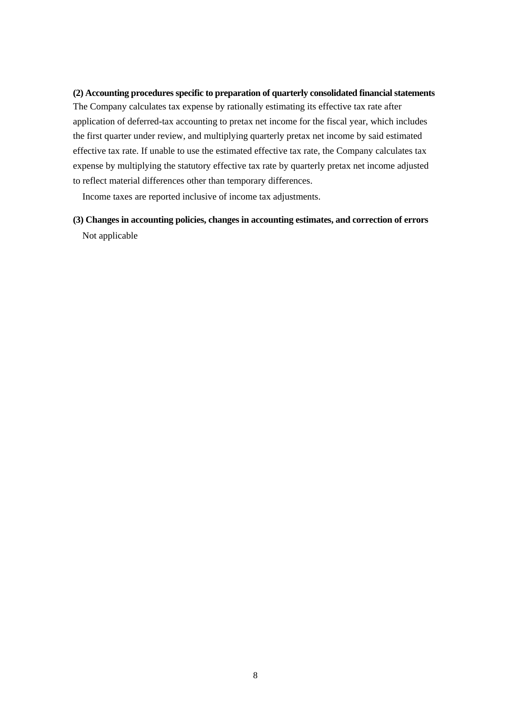### **(2) Accounting procedures specific to preparation of quarterly consolidated financial statements**

The Company calculates tax expense by rationally estimating its effective tax rate after application of deferred-tax accounting to pretax net income for the fiscal year, which includes the first quarter under review, and multiplying quarterly pretax net income by said estimated effective tax rate. If unable to use the estimated effective tax rate, the Company calculates tax expense by multiplying the statutory effective tax rate by quarterly pretax net income adjusted to reflect material differences other than temporary differences.

Income taxes are reported inclusive of income tax adjustments.

**(3) Changes in accounting policies, changes in accounting estimates, and correction of errors**  Not applicable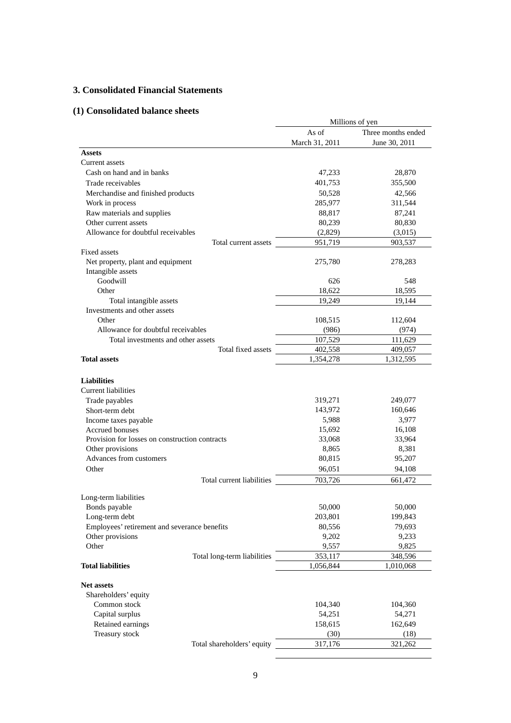# **3. Consolidated Financial Statements**

# **(1) Consolidated balance sheets**

|                                                        | Millions of yen |                    |  |
|--------------------------------------------------------|-----------------|--------------------|--|
|                                                        | As of           | Three months ended |  |
|                                                        | March 31, 2011  | June 30, 2011      |  |
| <b>Assets</b>                                          |                 |                    |  |
| Current assets                                         |                 |                    |  |
| Cash on hand and in banks                              | 47,233          | 28,870             |  |
| Trade receivables                                      | 401,753         | 355,500            |  |
| Merchandise and finished products                      | 50,528          | 42,566             |  |
| Work in process                                        | 285,977         | 311,544            |  |
| Raw materials and supplies                             | 88,817          | 87,241             |  |
| Other current assets                                   | 80,239          | 80,830             |  |
| Allowance for doubtful receivables                     | (2,829)         | (3,015)            |  |
| Total current assets                                   | 951,719         | 903,537            |  |
| Fixed assets                                           |                 |                    |  |
| Net property, plant and equipment<br>Intangible assets | 275,780         | 278,283            |  |
| Goodwill                                               | 626             | 548                |  |
| Other                                                  | 18.622          | 18,595             |  |
| Total intangible assets                                | 19,249          | 19,144             |  |
| Investments and other assets                           |                 |                    |  |
| Other                                                  | 108,515         | 112,604            |  |
| Allowance for doubtful receivables                     | (986)           | (974)              |  |
| Total investments and other assets                     | 107,529         | 111,629            |  |
| Total fixed assets<br><b>Total assets</b>              | 402,558         | 409,057            |  |
|                                                        | 1,354,278       | 1,312,595          |  |
|                                                        |                 |                    |  |
| <b>Liabilities</b><br><b>Current liabilities</b>       |                 |                    |  |
| Trade payables                                         | 319,271         | 249,077            |  |
| Short-term debt                                        | 143,972         | 160,646            |  |
| Income taxes payable                                   | 5,988           | 3,977              |  |
| <b>Accrued bonuses</b>                                 | 15,692          | 16,108             |  |
| Provision for losses on construction contracts         | 33,068          | 33,964             |  |
| Other provisions                                       | 8,865           | 8,381              |  |
| Advances from customers                                | 80,815          | 95,207             |  |
| Other                                                  | 96,051          | 94,108             |  |
| Total current liabilities                              | 703,726         | 661,472            |  |
|                                                        |                 |                    |  |
| Long-term liabilities                                  |                 |                    |  |
| Bonds payable                                          | 50,000          | 50,000             |  |
| Long-term debt                                         | 203,801         | 199,843            |  |
| Employees' retirement and severance benefits           | 80,556          | 79,693             |  |
| Other provisions                                       | 9,202           | 9,233              |  |
| Other                                                  | 9,557           | 9,825              |  |
| Total long-term liabilities                            | 353,117         | 348,596            |  |
| <b>Total liabilities</b>                               | 1,056,844       | 1,010,068          |  |
| <b>Net assets</b>                                      |                 |                    |  |
| Shareholders' equity                                   |                 |                    |  |
| Common stock                                           | 104,340         | 104,360            |  |
| Capital surplus                                        | 54,251          | 54,271             |  |
| Retained earnings                                      | 158,615         | 162,649            |  |
| Treasury stock                                         | (30)            | (18)               |  |
| Total shareholders' equity                             | 317,176         | 321,262            |  |
|                                                        |                 |                    |  |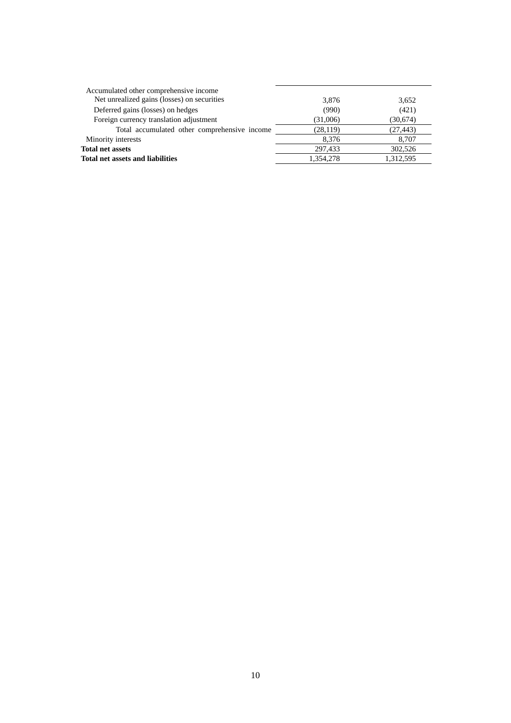| Accumulated other comprehensive income       |           |           |
|----------------------------------------------|-----------|-----------|
| Net unrealized gains (losses) on securities  | 3,876     | 3,652     |
| Deferred gains (losses) on hedges            | (990)     | (421)     |
| Foreign currency translation adjustment      | (31,006)  | (30,674)  |
| Total accumulated other comprehensive income | (28, 119) | (27, 443) |
| Minority interests                           | 8.376     | 8,707     |
| <b>Total net assets</b>                      | 297,433   | 302,526   |
| <b>Total net assets and liabilities</b>      | 1.354.278 | 1,312,595 |
|                                              |           |           |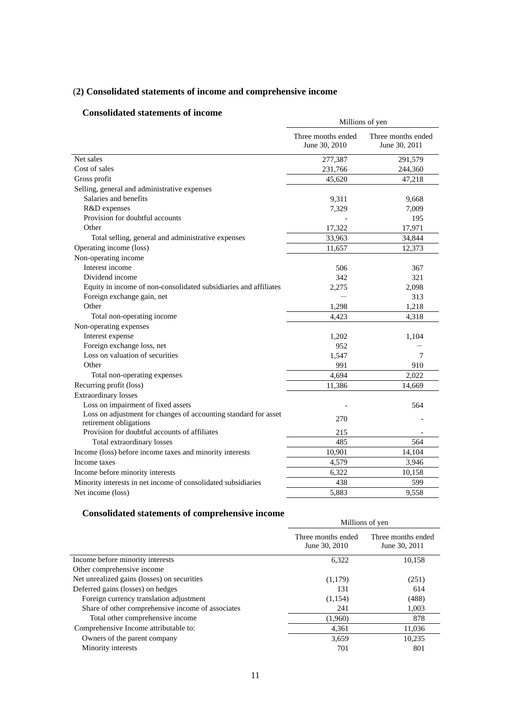# (**2) Consolidated statements of income and comprehensive income**

# **Consolidated statements of income**

| onsonuateu statements of muonie                                                           | Millions of yen                     |                                     |  |
|-------------------------------------------------------------------------------------------|-------------------------------------|-------------------------------------|--|
|                                                                                           | Three months ended<br>June 30, 2010 | Three months ended<br>June 30, 2011 |  |
| Net sales                                                                                 | 277,387                             | 291,579                             |  |
| Cost of sales                                                                             | 231,766                             | 244,360                             |  |
| Gross profit                                                                              | 45,620                              | 47,218                              |  |
| Selling, general and administrative expenses                                              |                                     |                                     |  |
| Salaries and benefits                                                                     | 9,311                               | 9,668                               |  |
| R&D expenses                                                                              | 7,329                               | 7,009                               |  |
| Provision for doubtful accounts                                                           |                                     | 195                                 |  |
| Other                                                                                     | 17,322                              | 17,971                              |  |
| Total selling, general and administrative expenses                                        | 33,963                              | 34,844                              |  |
| Operating income (loss)                                                                   | 11,657                              | 12,373                              |  |
| Non-operating income                                                                      |                                     |                                     |  |
| Interest income                                                                           | 506                                 | 367                                 |  |
| Dividend income                                                                           | 342                                 | 321                                 |  |
| Equity in income of non-consolidated subsidiaries and affiliates                          | 2,275                               | 2,098                               |  |
| Foreign exchange gain, net                                                                |                                     | 313                                 |  |
| Other                                                                                     | 1,298                               | 1,218                               |  |
| Total non-operating income                                                                | 4,423                               | 4,318                               |  |
| Non-operating expenses                                                                    |                                     |                                     |  |
| Interest expense                                                                          | 1,202                               | 1,104                               |  |
| Foreign exchange loss, net                                                                | 952                                 |                                     |  |
| Loss on valuation of securities                                                           | 1,547                               | 7                                   |  |
| Other                                                                                     | 991                                 | 910                                 |  |
| Total non-operating expenses                                                              | 4,694                               | 2,022                               |  |
| Recurring profit (loss)                                                                   | 11,386                              | 14,669                              |  |
| <b>Extraordinary losses</b>                                                               |                                     |                                     |  |
| Loss on impairment of fixed assets                                                        |                                     | 564                                 |  |
| Loss on adjustment for changes of accounting standard for asset<br>retirement obligations | 270                                 |                                     |  |
| Provision for doubtful accounts of affiliates                                             | 215                                 |                                     |  |
| Total extraordinary losses                                                                | 485                                 | 564                                 |  |
| Income (loss) before income taxes and minority interests                                  | 10,901                              | 14,104                              |  |
| Income taxes                                                                              | 4,579                               | 3,946                               |  |
| Income before minority interests                                                          | 6,322                               | 10,158                              |  |
| Minority interests in net income of consolidated subsidiaries                             | 438                                 | 599                                 |  |
| Net income (loss)                                                                         | 5,883                               | 9,558                               |  |

# **Consolidated statements of comprehensive income**

| Millions of yen                     |                                     |  |
|-------------------------------------|-------------------------------------|--|
|                                     |                                     |  |
| Three months ended<br>June 30, 2010 | Three months ended<br>June 30, 2011 |  |
| 6,322                               | 10,158                              |  |
|                                     |                                     |  |
| (1,179)                             | (251)                               |  |
| 131                                 | 614                                 |  |
| (1,154)                             | (488)                               |  |
| 241                                 | 1,003                               |  |
| (1,960)                             | 878                                 |  |
| 4,361                               | 11,036                              |  |
| 3.659                               | 10.235                              |  |
| 701                                 | 801                                 |  |
|                                     |                                     |  |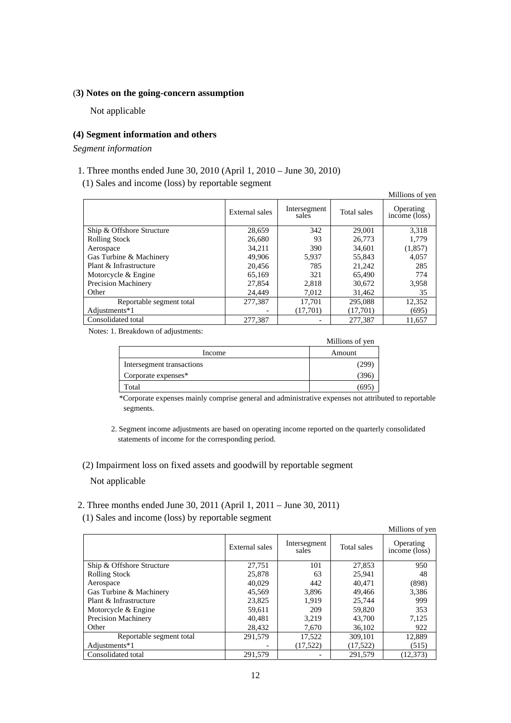#### (**3) Notes on the going-concern assumption**

Not applicable

### **(4) Segment information and others**

*Segment information* 

# 1. Three months ended June 30, 2010 (April 1, 2010 – June 30, 2010)

(1) Sales and income (loss) by reportable segment

|                            |                |                       |             | Millions of yen            |
|----------------------------|----------------|-----------------------|-------------|----------------------------|
|                            | External sales | Intersegment<br>sales | Total sales | Operating<br>income (loss) |
| Ship & Offshore Structure  | 28,659         | 342                   | 29,001      | 3.318                      |
| <b>Rolling Stock</b>       | 26,680         | 93                    | 26,773      | 1,779                      |
| Aerospace                  | 34.211         | 390                   | 34.601      | (1, 857)                   |
| Gas Turbine & Machinery    | 49,906         | 5,937                 | 55,843      | 4.057                      |
| Plant & Infrastructure     | 20.456         | 785                   | 21,242      | 285                        |
| Motorcycle & Engine        | 65.169         | 321                   | 65.490      | 774                        |
| <b>Precision Machinery</b> | 27,854         | 2,818                 | 30,672      | 3,958                      |
| Other                      | 24.449         | 7,012                 | 31,462      | 35                         |
| Reportable segment total   | 277,387        | 17.701                | 295,088     | 12,352                     |
| Adjustments*1              |                | (17,701)              | (17,701)    | (695)                      |
| Consolidated total         | 277,387        |                       | 277,387     | 11,657                     |

Notes: 1. Breakdown of adjustments:

|                           | Millions of yen |
|---------------------------|-----------------|
| Income                    | Amount          |
| Intersegment transactions | 299             |
| Corporate expenses*       | 396             |
| Total                     | 695             |

\*Corporate expenses mainly comprise general and administrative expenses not attributed to reportable segments.

2. Segment income adjustments are based on operating income reported on the quarterly consolidated statements of income for the corresponding period.

# (2) Impairment loss on fixed assets and goodwill by reportable segment Not applicable

### 2. Three months ended June 30, 2011 (April 1, 2011 – June 30, 2011)

(1) Sales and income (loss) by reportable segment

|                            |                |                       |             | Millions of yen            |
|----------------------------|----------------|-----------------------|-------------|----------------------------|
|                            | External sales | Intersegment<br>sales | Total sales | Operating<br>income (loss) |
| Ship & Offshore Structure  | 27,751         | 101                   | 27,853      | 950                        |
| <b>Rolling Stock</b>       | 25,878         | 63                    | 25.941      | 48                         |
| Aerospace                  | 40,029         | 442                   | 40.471      | (898)                      |
| Gas Turbine & Machinery    | 45,569         | 3,896                 | 49,466      | 3,386                      |
| Plant & Infrastructure     | 23,825         | 1.919                 | 25,744      | 999                        |
| Motorcycle & Engine        | 59,611         | 209                   | 59,820      | 353                        |
| <b>Precision Machinery</b> | 40.481         | 3.219                 | 43,700      | 7,125                      |
| Other                      | 28.432         | 7,670                 | 36,102      | 922                        |
| Reportable segment total   | 291.579        | 17,522                | 309.101     | 12.889                     |
| Adjustments*1              |                | (17,522)              | (17,522)    | (515)                      |
| Consolidated total         | 291,579        |                       | 291.579     | (12, 373)                  |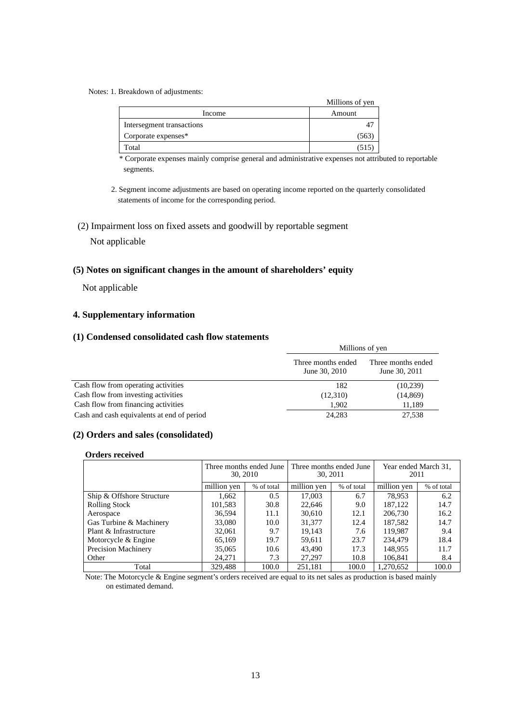#### Notes: 1. Breakdown of adjustments:

|                           | Millions of yen |
|---------------------------|-----------------|
| Income                    | Amount          |
| Intersegment transactions |                 |
| Corporate expenses*       | 1563            |
| Total                     |                 |

\* Corporate expenses mainly comprise general and administrative expenses not attributed to reportable segments.

- 2. Segment income adjustments are based on operating income reported on the quarterly consolidated statements of income for the corresponding period.
- (2) Impairment loss on fixed assets and goodwill by reportable segment

# Not applicable

#### **(5) Notes on significant changes in the amount of shareholders' equity**

Not applicable

# **4. Supplementary information**

## **(1) Condensed consolidated cash flow statements**

|                                            | Millions of yen                     |                                     |  |
|--------------------------------------------|-------------------------------------|-------------------------------------|--|
|                                            | Three months ended<br>June 30, 2010 | Three months ended<br>June 30, 2011 |  |
| Cash flow from operating activities        | 182                                 | (10,239)                            |  |
| Cash flow from investing activities        | (12,310)                            | (14, 869)                           |  |
| Cash flow from financing activities        | 1.902                               | 11,189                              |  |
| Cash and cash equivalents at end of period | 24,283                              | 27,538                              |  |

# **(2) Orders and sales (consolidated)**

#### **Orders received**

|                           |             | Three months ended June<br>30, 2010 | Three months ended June<br>30, 2011 |            | 2011        | Year ended March 31, |
|---------------------------|-------------|-------------------------------------|-------------------------------------|------------|-------------|----------------------|
|                           | million yen | % of total                          | million yen                         | % of total | million yen | % of total           |
| Ship & Offshore Structure | 1,662       | 0.5                                 | 17,003                              | 6.7        | 78.953      | 6.2                  |
| <b>Rolling Stock</b>      | 101,583     | 30.8                                | 22,646                              | 9.0        | 187.122     | 14.7                 |
| Aerospace                 | 36,594      | 11.1                                | 30,610                              | 12.1       | 206,730     | 16.2                 |
| Gas Turbine & Machinery   | 33,080      | 10.0                                | 31,377                              | 12.4       | 187,582     | 14.7                 |
| Plant & Infrastructure    | 32,061      | 9.7                                 | 19.143                              | 7.6        | 119.987     | 9.4                  |
| Motorcycle & Engine       | 65.169      | 19.7                                | 59.611                              | 23.7       | 234,479     | 18.4                 |
| Precision Machinery       | 35,065      | 10.6                                | 43.490                              | 17.3       | 148,955     | 11.7                 |
| Other                     | 24.271      | 7.3                                 | 27,297                              | 10.8       | 106,841     | 8.4                  |
| Total                     | 329,488     | 100.0                               | 251,181                             | 100.0      | 1.270.652   | 100.0                |

Note: The Motorcycle & Engine segment's orders received are equal to its net sales as production is based mainly on estimated demand.